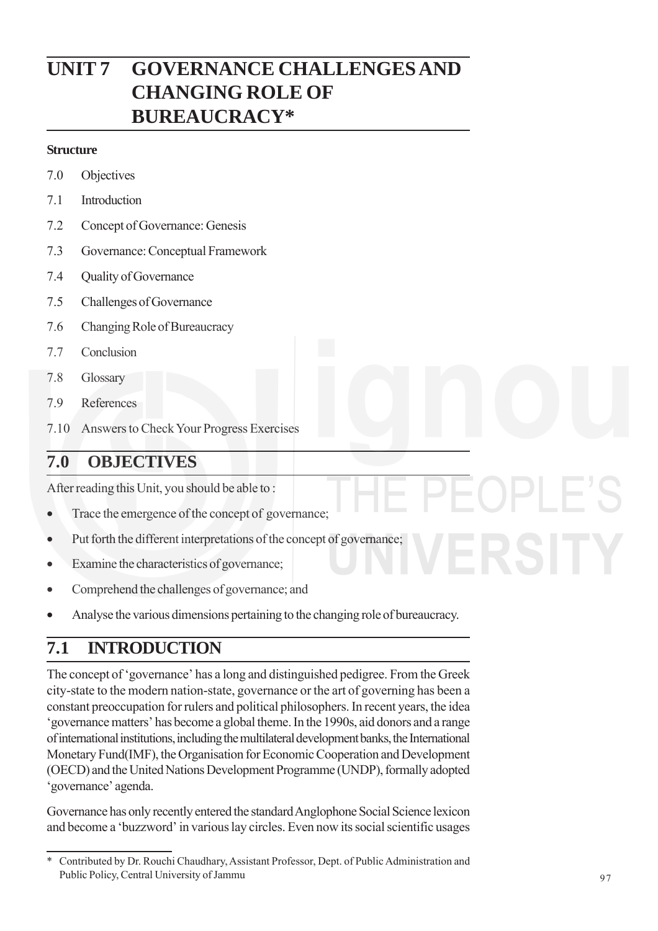# **UNIT 7 GOVERNANCE CHALLENGES AND CHANGING ROLE OF BUREAUCRACY\***

### **Structure**

- 7.0 Objectives
- 7.1 Introduction
- 7.2 Concept of Governance: Genesis
- 7.3 Governance: Conceptual Framework
- 7.4 Quality of Governance
- 7.5 Challenges of Governance
- 7.6 Changing Role of Bureaucracy
- 7.7 Conclusion
- 7.8 Glossary
- 7.9 References
- 7.10 Answers to Check Your Progress Exercises

## **7.0 OBJECTIVES**

After reading this Unit, you should be able to :

- Trace the emergence of the concept of governance;
- Put forth the different interpretations of the concept of governance;
- Examine the characteristics of governance;
- Comprehend the challenges of governance; and
- Analyse the various dimensions pertaining to the changing role of bureaucracy.

# **7.1 INTRODUCTION**

The concept of 'governance' has a long and distinguished pedigree. From the Greek city-state to the modern nation-state, governance or the art of governing has been a constant preoccupation for rulers and political philosophers. In recent years, the idea 'governance matters' has become a global theme. In the 1990s, aid donors and a range of international institutions, including the multilateral development banks, the International Monetary Fund(IMF), the Organisation for Economic Cooperation and Development (OECD) and the United Nations Development Programme (UNDP), formally adopted 'governance' agenda.

Governance has only recently entered the standard Anglophone Social Science lexicon and become a 'buzzword' in various lay circles. Even now its social scientific usages

<sup>\*</sup> Contributed by Dr. Rouchi Chaudhary, Assistant Professor, Dept. of Public Administration and Public Policy, Central University of Jammu 97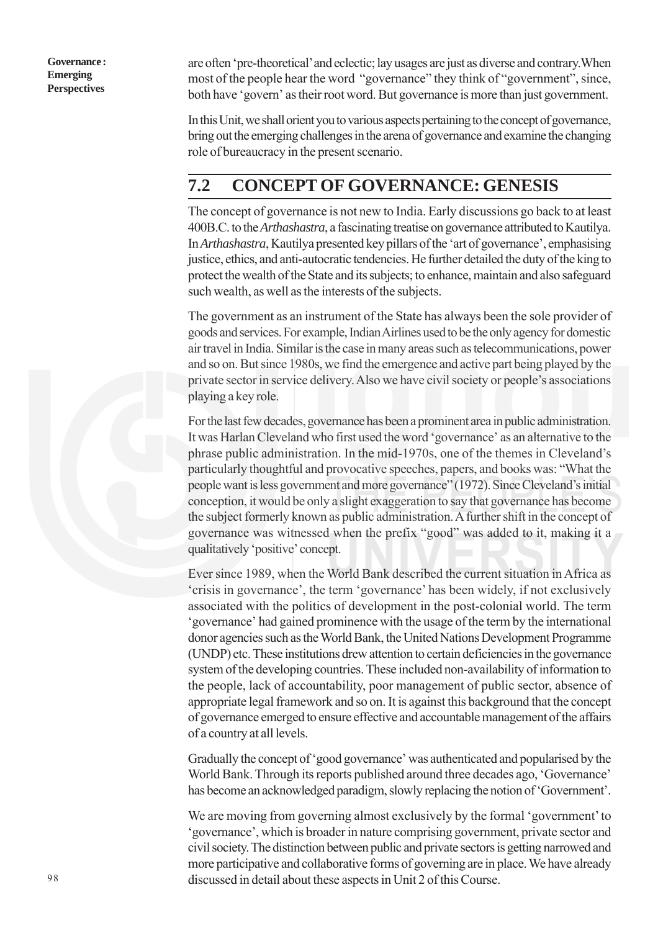are often 'pre-theoretical' and eclectic; lay usages are just as diverse and contrary.When most of the people hear the word "governance" they think of "government", since, both have 'govern' as their root word. But governance is more than just government.

In this Unit, we shall orient you to various aspects pertaining to the concept of governance, bring out the emerging challenges in the arena of governance and examine the changing role of bureaucracy in the present scenario.

## **7.2 CONCEPT OF GOVERNANCE: GENESIS**

The concept of governance is not new to India. Early discussions go back to at least 400B.C. to the *Arthashastra*, a fascinating treatise on governance attributed to Kautilya. In *Arthashastra*, Kautilya presented key pillars of the 'art of governance', emphasising justice, ethics, and anti-autocratic tendencies. He further detailed the duty of the king to protect the wealth of the State and its subjects; to enhance, maintain and also safeguard such wealth, as well as the interests of the subjects.

The government as an instrument of the State has always been the sole provider of goods and services. For example, Indian Airlines used to be the only agency for domestic air travel in India. Similar is the case in many areas such as telecommunications, power and so on. But since 1980s, we find the emergence and active part being played by the private sector in service delivery. Also we have civil society or people's associations playing a key role.

For the last few decades, governance has been a prominent area in public administration. It was Harlan Cleveland who first used the word 'governance' as an alternative to the phrase public administration. In the mid-1970s, one of the themes in Cleveland's particularly thoughtful and provocative speeches, papers, and books was: "What the people want is less government and more governance" (1972). Since Cleveland's initial conception, it would be only a slight exaggeration to say that governance has become the subject formerly known as public administration. A further shift in the concept of governance was witnessed when the prefix "good" was added to it, making it a qualitatively 'positive' concept.

Ever since 1989, when the World Bank described the current situation in Africa as 'crisis in governance', the term 'governance' has been widely, if not exclusively associated with the politics of development in the post-colonial world. The term 'governance' had gained prominence with the usage of the term by the international donor agencies such as the World Bank, the United Nations Development Programme (UNDP) etc. These institutions drew attention to certain deficiencies in the governance system of the developing countries. These included non-availability of information to the people, lack of accountability, poor management of public sector, absence of appropriate legal framework and so on. It is against this background that the concept of governance emerged to ensure effective and accountable management of the affairs of a country at all levels.

Gradually the concept of 'good governance' was authenticated and popularised by the World Bank. Through its reports published around three decades ago, 'Governance' has become an acknowledged paradigm, slowly replacing the notion of 'Government'.

We are moving from governing almost exclusively by the formal 'government' to 'governance', which is broader in nature comprising government, private sector and civil society. The distinction between public and private sectors is getting narrowed and more participative and collaborative forms of governing are in place. We have already discussed in detail about these aspects in Unit 2 of this Course.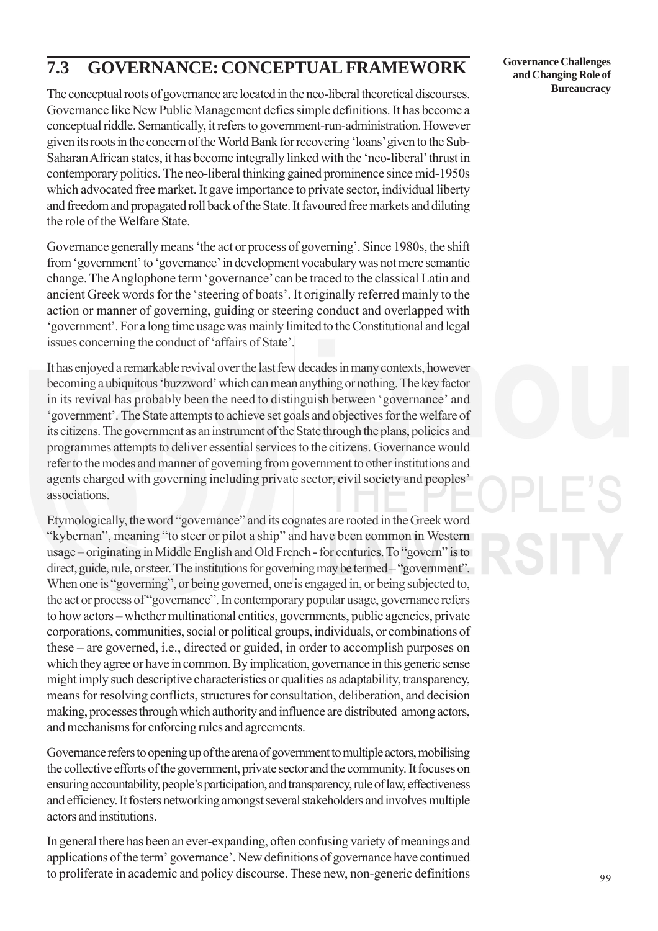# **7.3 GOVERNANCE: CONCEPTUAL FRAMEWORK**

The conceptual roots of governance are located in the neo-liberal theoretical discourses. Governance like New Public Management defies simple definitions. It has become a conceptual riddle. Semantically, it refers to government-run-administration. However given its roots in the concern of the World Bank for recovering 'loans' given to the Sub-Saharan African states, it has become integrally linked with the 'neo-liberal' thrust in contemporary politics. The neo-liberal thinking gained prominence since mid-1950s which advocated free market. It gave importance to private sector, individual liberty and freedom and propagated roll back of the State. It favoured free markets and diluting the role of the Welfare State.

Governance generally means 'the act or process of governing'. Since 1980s, the shift from 'government' to 'governance' in development vocabulary was not mere semantic change. The Anglophone term 'governance' can be traced to the classical Latin and ancient Greek words for the 'steering of boats'. It originally referred mainly to the action or manner of governing, guiding or steering conduct and overlapped with 'government'. For a long time usage was mainly limited to the Constitutional and legal issues concerning the conduct of 'affairs of State'.

It has enjoyed a remarkable revival over the last few decades in many contexts, however becoming a ubiquitous 'buzzword' which can mean anything or nothing. The key factor in its revival has probably been the need to distinguish between 'governance' and 'government'. The State attempts to achieve set goals and objectives for the welfare of its citizens. The government as an instrument of the State through the plans, policies and programmes attempts to deliver essential services to the citizens. Governance would refer to the modes and manner of governing from government to other institutions and agents charged with governing including private sector, civil society and peoples' associations.

Etymologically, the word "governance" and its cognates are rooted in the Greek word "kybernan", meaning "to steer or pilot a ship" and have been common in Western usage – originating in Middle English and Old French - for centuries. To "govern" is to direct, guide, rule, or steer. The institutions for governing may be termed – "government". When one is "governing", or being governed, one is engaged in, or being subjected to, the act or process of "governance". In contemporary popular usage, governance refers to how actors – whether multinational entities, governments, public agencies, private corporations, communities, social or political groups, individuals, or combinations of these – are governed, i.e., directed or guided, in order to accomplish purposes on which they agree or have in common. By implication, governance in this generic sense might imply such descriptive characteristics or qualities as adaptability, transparency, means for resolving conflicts, structures for consultation, deliberation, and decision making, processes through which authority and influence are distributed among actors, and mechanisms for enforcing rules and agreements.

Governance refers to opening up of the arena of government to multiple actors, mobilising the collective efforts of the government, private sector and the community. It focuses on ensuring accountability, people's participation, and transparency, rule of law, effectiveness and efficiency. It fosters networking amongst several stakeholders and involves multiple actors and institutions.

In general there has been an ever-expanding, often confusing variety of meanings and applications of the term' governance'. New definitions of governance have continued to proliferate in academic and policy discourse. These new, non-generic definitions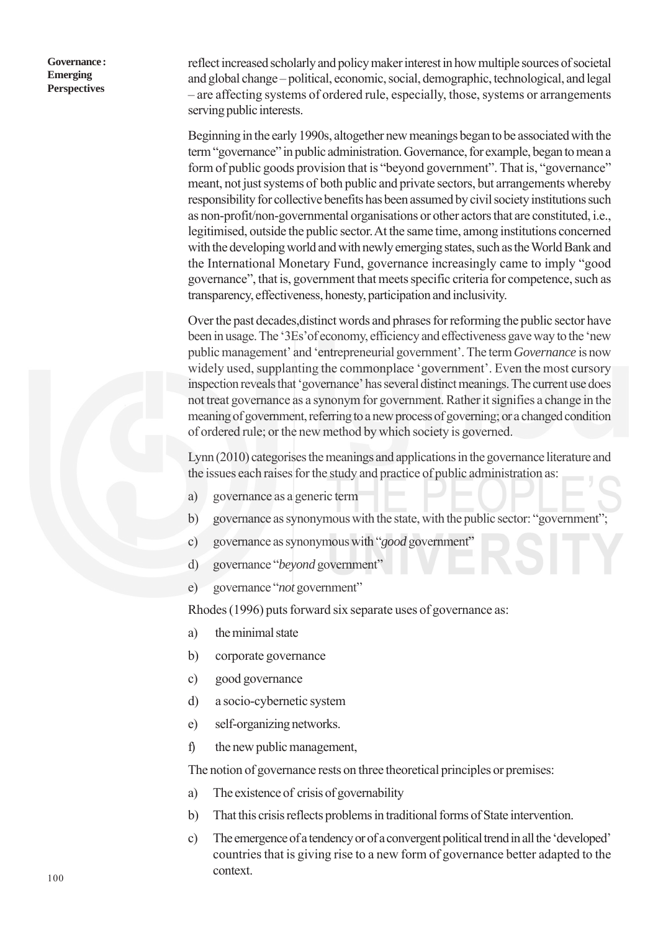reflect increased scholarly and policy maker interest in how multiple sources of societal and global change – political, economic, social, demographic, technological, and legal – are affecting systems of ordered rule, especially, those, systems or arrangements serving public interests.

Beginning in the early 1990s, altogether new meanings began to be associated with the term "governance" in public administration. Governance, for example, began to mean a form of public goods provision that is "beyond government". That is, "governance" meant, not just systems of both public and private sectors, but arrangements whereby responsibility for collective benefits has been assumed by civil society institutions such as non-profit/non-governmental organisations or other actors that are constituted, i.e., legitimised, outside the public sector. At the same time, among institutions concerned with the developing world and with newly emerging states, such as the World Bank and the International Monetary Fund, governance increasingly came to imply "good governance", that is, government that meets specific criteria for competence, such as transparency, effectiveness, honesty, participation and inclusivity.

Over the past decades,distinct words and phrases for reforming the public sector have been in usage. The '3Es'of economy, efficiency and effectiveness gave way to the 'new public management' and 'entrepreneurial government'. The term *Governance* is now widely used, supplanting the commonplace 'government'. Even the most cursory inspection reveals that 'governance' has several distinct meanings. The current use does not treat governance as a synonym for government. Rather it signifies a change in the meaning of government, referring to a new process of governing; or a changed condition of ordered rule; or the new method by which society is governed.

Lynn (2010) categorises the meanings and applications in the governance literature and the issues each raises for the study and practice of public administration as:

- a) governance as a generic term
- b) governance as synonymous with the state, with the public sector: "government";
- c) governance as synonymous with "*good* government"
- d) governance "*beyond* government"
- e) governance "*not* government"

Rhodes (1996) puts forward six separate uses of governance as:

- a) the minimal state
- b) corporate governance
- c) good governance
- d) a socio-cybernetic system
- e) self-organizing networks.
- f) the new public management,

The notion of governance rests on three theoretical principles or premises:

- a) The existence of crisis of governability
- b) That this crisis reflects problems in traditional forms of State intervention.
- c) The emergence of a tendency or of a convergent political trend in all the 'developed' countries that is giving rise to a new form of governance better adapted to the context.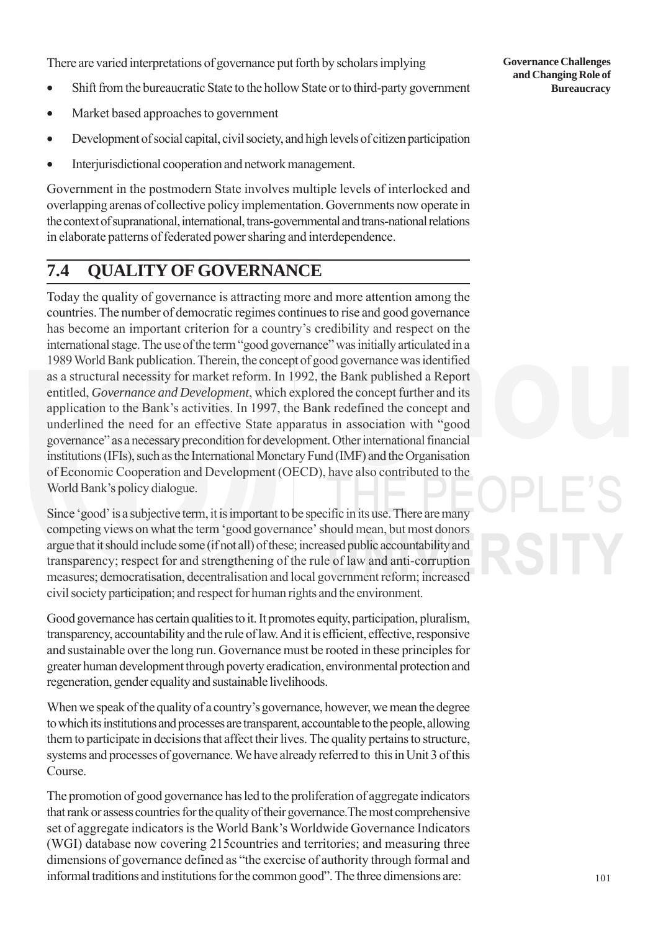There are varied interpretations of governance put forth by scholars implying

- Shift from the bureaucratic State to the hollow State or to third-party government
- Market based approaches to government
- Development of social capital, civil society, and high levels of citizen participation
- Interjurisdictional cooperation and network management.

Government in the postmodern State involves multiple levels of interlocked and overlapping arenas of collective policy implementation. Governments now operate in the context of supranational, international, trans-governmental and trans-national relations in elaborate patterns of federated power sharing and interdependence.

# **7.4 QUALITY OF GOVERNANCE**

Today the quality of governance is attracting more and more attention among the countries. The number of democratic regimes continues to rise and good governance has become an important criterion for a country's credibility and respect on the international stage. The use of the term "good governance" was initially articulated in a 1989 World Bank publication. Therein, the concept of good governance was identified as a structural necessity for market reform. In 1992, the Bank published a Report entitled, *Governance and Development*, which explored the concept further and its application to the Bank's activities. In 1997, the Bank redefined the concept and underlined the need for an effective State apparatus in association with "good governance" as a necessary precondition for development. Other international financial institutions (IFIs), such as the International Monetary Fund (IMF) and the Organisation of Economic Cooperation and Development (OECD), have also contributed to the World Bank's policy dialogue.

Since 'good' is a subjective term, it is important to be specific in its use. There are many competing views on what the term 'good governance' should mean, but most donors argue that it should include some (if not all) of these; increased public accountability and transparency; respect for and strengthening of the rule of law and anti-corruption measures; democratisation, decentralisation and local government reform; increased civil society participation; and respect for human rights and the environment.

Good governance has certain qualities to it. It promotes equity, participation, pluralism, transparency, accountability and the rule of law. And it is efficient, effective, responsive and sustainable over the long run. Governance must be rooted in these principles for greater human development through poverty eradication, environmental protection and regeneration, gender equality and sustainable livelihoods.

When we speak of the quality of a country's governance, however, we mean the degree to which its institutions and processes are transparent, accountable to the people, allowing them to participate in decisions that affect their lives. The quality pertains to structure, systems and processes of governance. We have already referred to this in Unit 3 of this Course.

The promotion of good governance has led to the proliferation of aggregate indicators that rank or assess countries for the quality of their governance.The most comprehensive set of aggregate indicators is the World Bank's Worldwide Governance Indicators (WGI) database now covering 215countries and territories; and measuring three dimensions of governance defined as "the exercise of authority through formal and informal traditions and institutions for the common good". The three dimensions are:

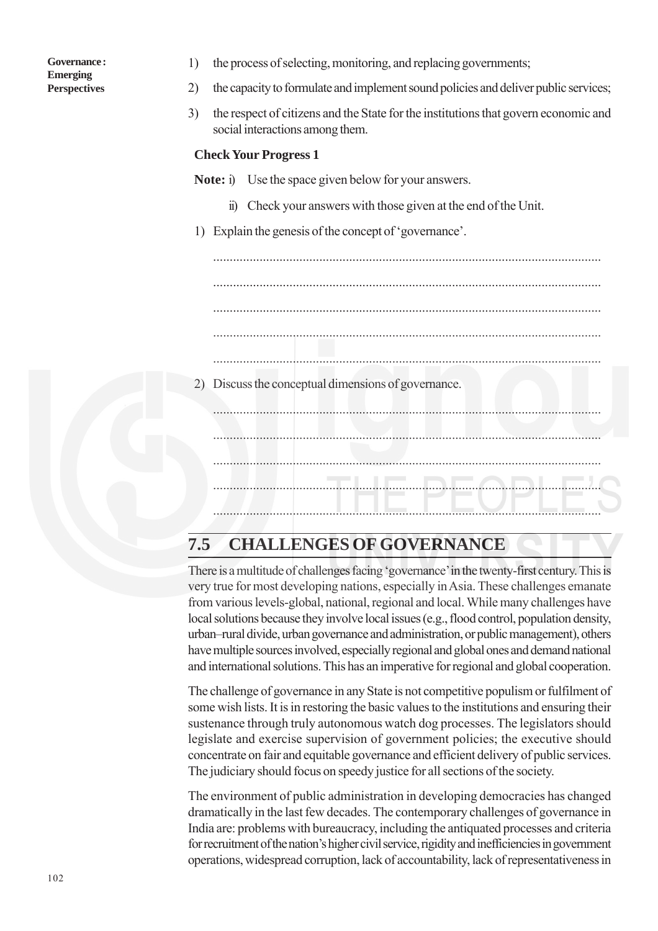| Governance:         |  |
|---------------------|--|
| <b>Emerging</b>     |  |
| <b>Perspectives</b> |  |

- 1) the process of selecting, monitoring, and replacing governments;
- 2) the capacity to formulate and implement sound policies and deliver public services;
- 3) the respect of citizens and the State for the institutions that govern economic and social interactions among them.

#### **Check Your Progress 1**

**Note:** i) Use the space given below for your answers.

- ii) Check your answers with those given at the end of the Unit.
- 1) Explain the genesis of the concept of 'governance'.

..................................................................................................................... ..................................................................................................................... ..................................................................................................................... ..................................................................................................................... ..................................................................................................................... 2) Discuss the conceptual dimensions of governance. ..................................................................................................................... ..................................................................................................................... .....................................................................................................................

# **7.5 CHALLENGES OF GOVERNANCE**

There is a multitude of challenges facing 'governance' in the twenty-first century. This is very true for most developing nations, especially in Asia. These challenges emanate from various levels-global, national, regional and local. While many challenges have local solutions because they involve local issues (e.g., flood control, population density, urban–rural divide, urban governance and administration, or public management), others have multiple sources involved, especially regional and global ones and demand national and international solutions. This has an imperative for regional and global cooperation.

The challenge of governance in any State is not competitive populism or fulfilment of some wish lists. It is in restoring the basic values to the institutions and ensuring their sustenance through truly autonomous watch dog processes. The legislators should legislate and exercise supervision of government policies; the executive should concentrate on fair and equitable governance and efficient delivery of public services. The judiciary should focus on speedy justice for all sections of the society.

The environment of public administration in developing democracies has changed dramatically in the last few decades. The contemporary challenges of governance in India are: problems with bureaucracy, including the antiquated processes and criteria for recruitment of the nation's higher civil service, rigidity and inefficiencies in government operations, widespread corruption, lack of accountability, lack of representativeness in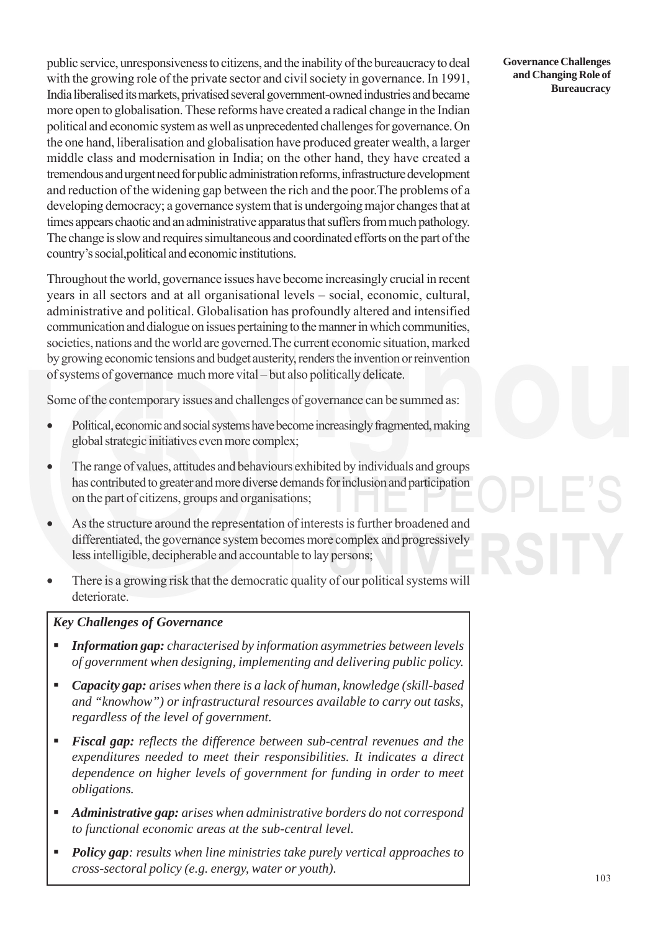public service, unresponsiveness to citizens, and the inability of the bureaucracy to deal with the growing role of the private sector and civil society in governance. In 1991, India liberalised its markets, privatised several government-owned industries and became more open to globalisation. These reforms have created a radical change in the Indian political and economic system as well as unprecedented challenges for governance. On the one hand, liberalisation and globalisation have produced greater wealth, a larger middle class and modernisation in India; on the other hand, they have created a tremendous and urgent need for public administration reforms, infrastructure development and reduction of the widening gap between the rich and the poor.The problems of a developing democracy; a governance system that is undergoing major changes that at times appears chaotic and an administrative apparatus that suffers from much pathology. The change is slow and requires simultaneous and coordinated efforts on the part of the country's social,political and economic institutions.

Throughout the world, governance issues have become increasingly crucial in recent years in all sectors and at all organisational levels – social, economic, cultural, administrative and political. Globalisation has profoundly altered and intensified communication and dialogue on issues pertaining to the manner in which communities, societies, nations and the world are governed.The current economic situation, marked by growing economic tensions and budget austerity, renders the invention or reinvention of systems of governance much more vital – but also politically delicate.

Some of the contemporary issues and challenges of governance can be summed as:

- Political, economic and social systems have become increasingly fragmented, making global strategic initiatives even more complex;
- The range of values, attitudes and behaviours exhibited by individuals and groups has contributed to greater and more diverse demands for inclusion and participation on the part of citizens, groups and organisations;
- As the structure around the representation of interests is further broadened and differentiated, the governance system becomes more complex and progressively less intelligible, decipherable and accountable to lay persons;
- There is a growing risk that the democratic quality of our political systems will deteriorate.

### *Key Challenges of Governance*

- *Information gap: characterised by information asymmetries between levels of government when designing, implementing and delivering public policy.*
- *Capacity gap: arises when there is a lack of human, knowledge (skill-based and "knowhow") or infrastructural resources available to carry out tasks, regardless of the level of government.*
- *Fiscal gap: reflects the difference between sub-central revenues and the expenditures needed to meet their responsibilities. It indicates a direct dependence on higher levels of government for funding in order to meet obligations.*
- *Administrative gap: arises when administrative borders do not correspond to functional economic areas at the sub-central level.*
- *Policy gap: results when line ministries take purely vertical approaches to cross-sectoral policy (e.g. energy, water or youth).*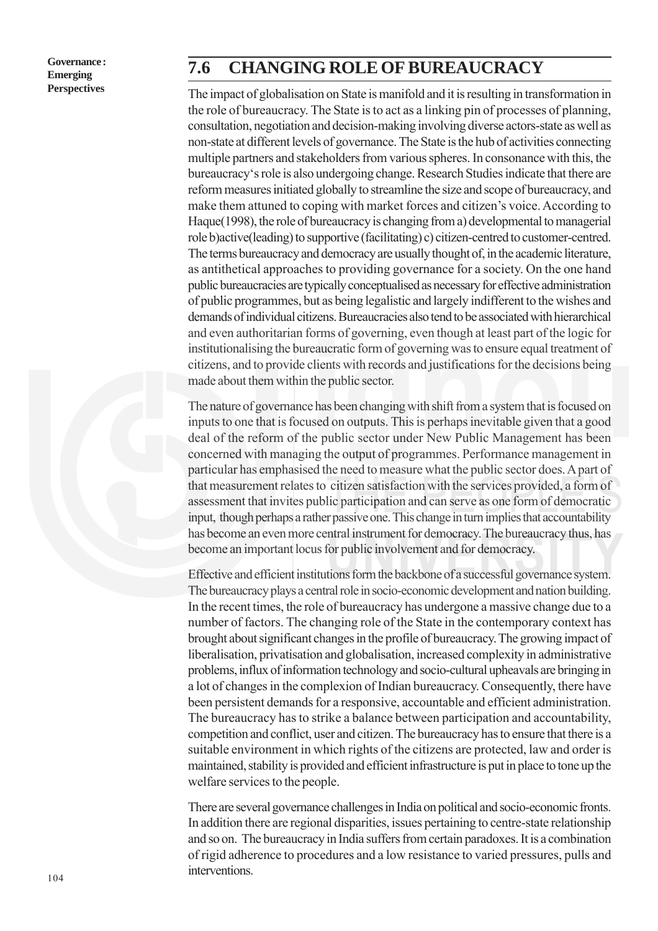## **7.6 CHANGING ROLE OF BUREAUCRACY**

The impact of globalisation on State is manifold and it is resulting in transformation in the role of bureaucracy. The State is to act as a linking pin of processes of planning, consultation, negotiation and decision-making involving diverse actors-state as well as non-state at different levels of governance. The State is the hub of activities connecting multiple partners and stakeholders from various spheres. In consonance with this, the bureaucracy's role is also undergoing change. Research Studies indicate that there are reform measures initiated globally to streamline the size and scope of bureaucracy, and make them attuned to coping with market forces and citizen's voice. According to Haque(1998), the role of bureaucracy is changing from a) developmental to managerial role b)active(leading) to supportive (facilitating) c) citizen-centred to customer-centred. The terms bureaucracy and democracy are usually thought of, in the academic literature, as antithetical approaches to providing governance for a society. On the one hand public bureaucracies are typically conceptualised as necessary for effective administration of public programmes, but as being legalistic and largely indifferent to the wishes and demands of individual citizens. Bureaucracies also tend to be associated with hierarchical and even authoritarian forms of governing, even though at least part of the logic for institutionalising the bureaucratic form of governing was to ensure equal treatment of citizens, and to provide clients with records and justifications for the decisions being made about them within the public sector.

The nature of governance has been changing with shift from a system that is focused on inputs to one that is focused on outputs. This is perhaps inevitable given that a good deal of the reform of the public sector under New Public Management has been concerned with managing the output of programmes. Performance management in particular has emphasised the need to measure what the public sector does. A part of that measurement relates to citizen satisfaction with the services provided, a form of assessment that invites public participation and can serve as one form of democratic input, though perhaps a rather passive one. This change in turn implies that accountability has become an even more central instrument for democracy. The bureaucracy thus, has become an important locus for public involvement and for democracy.

Effective and efficient institutions form the backbone of a successful governance system. The bureaucracy plays a central role in socio-economic development and nation building. In the recent times, the role of bureaucracy has undergone a massive change due to a number of factors. The changing role of the State in the contemporary context has brought about significant changes in the profile of bureaucracy. The growing impact of liberalisation, privatisation and globalisation, increased complexity in administrative problems, influx of information technology and socio-cultural upheavals are bringing in a lot of changes in the complexion of Indian bureaucracy. Consequently, there have been persistent demands for a responsive, accountable and efficient administration. The bureaucracy has to strike a balance between participation and accountability, competition and conflict, user and citizen. The bureaucracy has to ensure that there is a suitable environment in which rights of the citizens are protected, law and order is maintained, stability is provided and efficient infrastructure is put in place to tone up the welfare services to the people.

There are several governance challenges in India on political and socio-economic fronts. In addition there are regional disparities, issues pertaining to centre-state relationship and so on. The bureaucracy in India suffers from certain paradoxes. It is a combination of rigid adherence to procedures and a low resistance to varied pressures, pulls and interventions.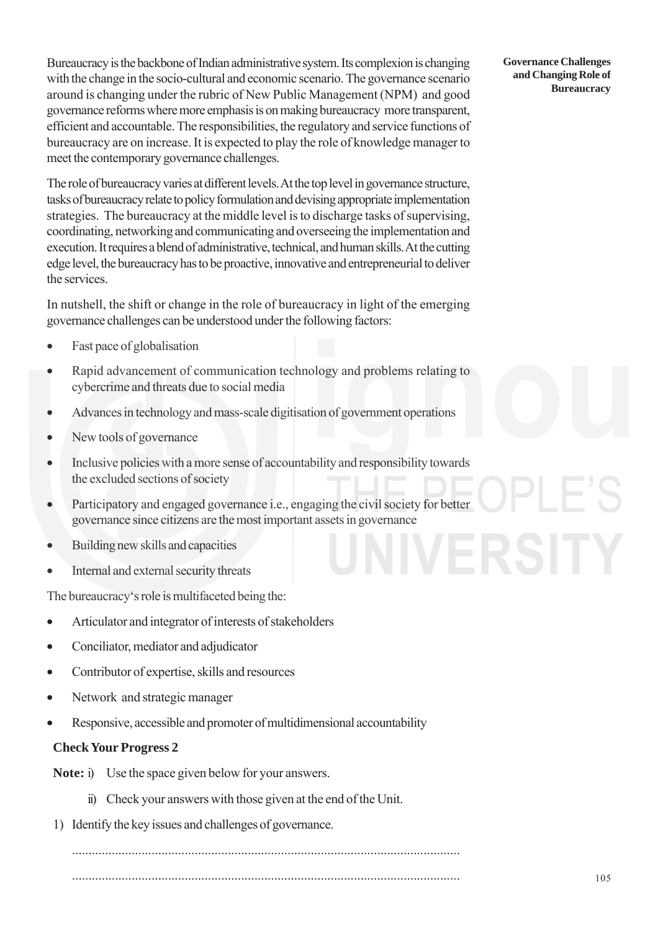Bureaucracy is the backbone of Indian administrative system. Its complexion is changing with the change in the socio-cultural and economic scenario. The governance scenario around is changing under the rubric of New Public Management (NPM) and good governance reforms where more emphasis is on making bureaucracy more transparent, efficient and accountable. The responsibilities, the regulatory and service functions of bureaucracy are on increase. It is expected to play the role of knowledge manager to meet the contemporary governance challenges.

The role of bureaucracy varies at different levels. At the top level in governance structure, tasks of bureaucracy relate to policy formulation and devising appropriate implementation strategies. The bureaucracy at the middle level is to discharge tasks of supervising, coordinating, networking and communicating and overseeing the implementation and execution. It requires a blend of administrative, technical, and human skills. At the cutting edge level, the bureaucracy has to be proactive, innovative and entrepreneurial to deliver the services.

In nutshell, the shift or change in the role of bureaucracy in light of the emerging governance challenges can be understood under the following factors:

- Fast pace of globalisation
- Rapid advancement of communication technology and problems relating to cybercrime and threats due to social media
- Advances in technology and mass-scale digitisation of government operations
- New tools of governance
- Inclusive policies with a more sense of accountability and responsibility towards the excluded sections of society
- Participatory and engaged governance i.e., engaging the civil society for better governance since citizens are the most important assets in governance
- Building new skills and capacities
- Internal and external security threats

The bureaucracy's role is multifaceted being the:

- Articulator and integrator of interests of stakeholders
- Conciliator, mediator and adjudicator
- Contributor of expertise, skills and resources
- Network and strategic manager
- Responsive, accessible and promoter of multidimensional accountability

#### **Check Your Progress 2**

**Note:** i) Use the space given below for your answers.

- ii) Check your answers with those given at the end of the Unit.
- 1) Identify the key issues and challenges of governance.

..................................................................................................................... .....................................................................................................................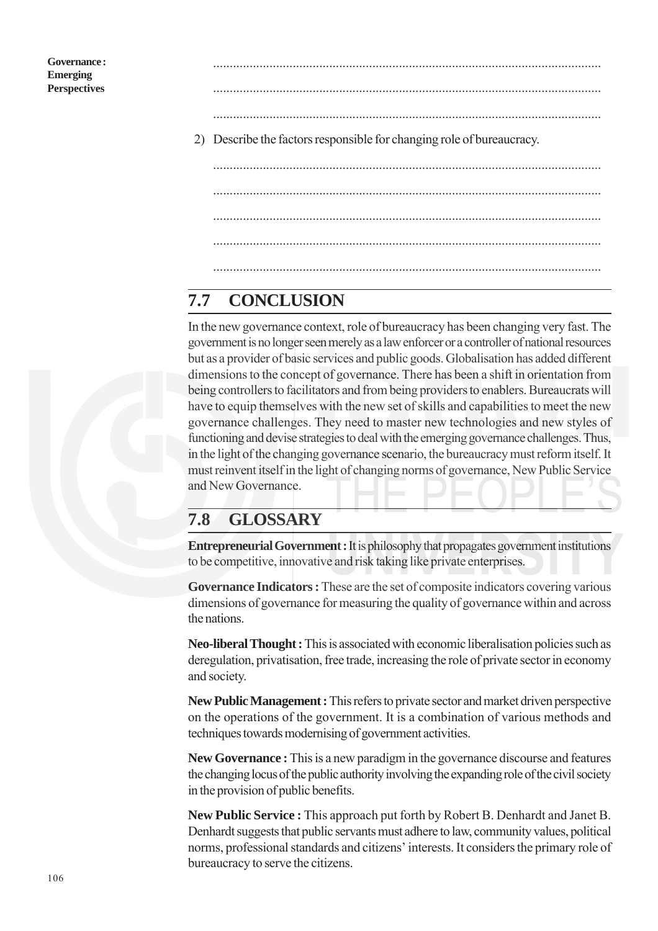..................................................................................................................... .....................................................................................................................

.....................................................................................................................

- 2) Describe the factors responsible for changing role of bureaucracy.
	- ..................................................................................................................... ..................................................................................................................... ..................................................................................................................... ..................................................................................................................... .....................................................................................................................

# **7.7 CONCLUSION**

In the new governance context, role of bureaucracy has been changing very fast. The government is no longer seen merely as a law enforcer or a controller of national resources but as a provider of basic services and public goods. Globalisation has added different dimensions to the concept of governance. There has been a shift in orientation from being controllers to facilitators and from being providers to enablers. Bureaucrats will have to equip themselves with the new set of skills and capabilities to meet the new governance challenges. They need to master new technologies and new styles of functioning and devise strategies to deal with the emerging governance challenges. Thus, in the light of the changing governance scenario, the bureaucracy must reform itself. It must reinvent itself in the light of changing norms of governance, New Public Service and New Governance.

# **7.8 GLOSSARY**

**Entrepreneurial Government :** It is philosophy that propagates government institutions to be competitive, innovative and risk taking like private enterprises.

**Governance Indicators :** These are the set of composite indicators covering various dimensions of governance for measuring the quality of governance within and across the nations.

**Neo-liberal Thought :** This is associated with economic liberalisation policies such as deregulation, privatisation, free trade, increasing the role of private sector in economy and society.

**New Public Management :** This refers to private sector and market driven perspective on the operations of the government. It is a combination of various methods and techniques towards modernising of government activities.

**New Governance :** This is a new paradigm in the governance discourse and features the changing locus of the public authority involving the expanding role of the civil society in the provision of public benefits.

**New Public Service :** This approach put forth by Robert B. Denhardt and Janet B. Denhardt suggests that public servants must adhere to law, community values, political norms, professional standards and citizens' interests. It considers the primary role of bureaucracy to serve the citizens.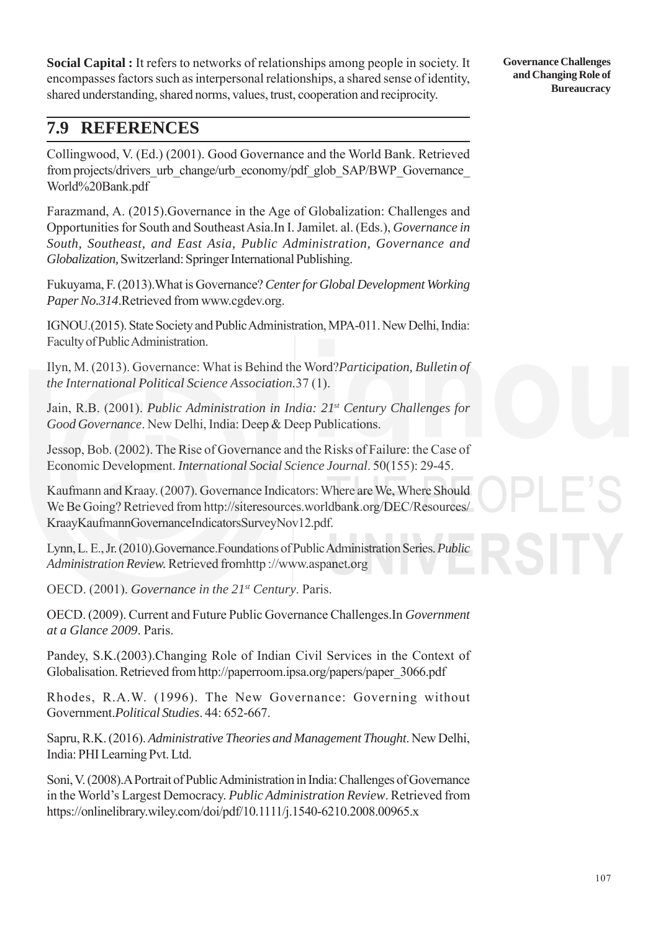**Social Capital :** It refers to networks of relationships among people in society. It encompasses factors such as interpersonal relationships, a shared sense of identity, shared understanding, shared norms, values, trust, cooperation and reciprocity.

## **7.9 REFERENCES**

Collingwood, V. (Ed.) (2001). Good Governance and the World Bank. Retrieved from projects/drivers\_urb\_change/urb\_economy/pdf\_glob\_SAP/BWP\_Governance World%20Bank.pdf

Farazmand, A. (2015).Governance in the Age of Globalization: Challenges and Opportunities for South and Southeast Asia.In I. Jamilet. al. (Eds.), *Governance in South, Southeast, and East Asia, Public Administration, Governance and Globalization,* Switzerland: Springer International Publishing.

Fukuyama, F. (2013).What is Governance? *Center for Global Development Working Paper No.314*.Retrieved from www.cgdev.org.

IGNOU.(2015). State Society and Public Administration, MPA-011. New Delhi, India: Faculty of Public Administration.

Ilyn, M. (2013). Governance: What is Behind the Word?*Participation, Bulletin of the International Political Science Association.*37 (1).

Jain, R.B. (2001). *Public Administration in India: 21st Century Challenges for Good Governance*. New Delhi, India: Deep & Deep Publications.

Jessop, Bob. (2002). The Rise of Governance and the Risks of Failure: the Case of Economic Development. *International Social Science Journal*. 50(155): 29-45.

Kaufmann and Kraay. (2007). Governance Indicators: Where are We, Where Should We Be Going? Retrieved from http://siteresources.worldbank.org/DEC/Resources/ KraayKaufmannGovernanceIndicatorsSurveyNov12.pdf.

Lynn, L. E., Jr. (2010).Governance.Foundations of Public Administration Series. *Public Administration Review.* Retrieved fromhttp ://www.aspanet.org

OECD. (2001). *Governance in the 21st Century*. Paris.

OECD. (2009). Current and Future Public Governance Challenges.In *Government at a Glance 2009*. Paris.

Pandey, S.K.(2003).Changing Role of Indian Civil Services in the Context of Globalisation. Retrieved from http://paperroom.ipsa.org/papers/paper\_3066.pdf

Rhodes, R.A.W. (1996). The New Governance: Governing without Government.*Political Studies*. 44: 652-667.

Sapru, R.K. (2016). *Administrative Theories and Management Thought*. New Delhi, India: PHI Learning Pvt. Ltd.

Soni, V. (2008).A Portrait of Public Administration in India: Challenges of Governance in the World's Largest Democracy. *Public Administration Review*. Retrieved from https://onlinelibrary.wiley.com/doi/pdf/10.1111/j.1540-6210.2008.00965.x